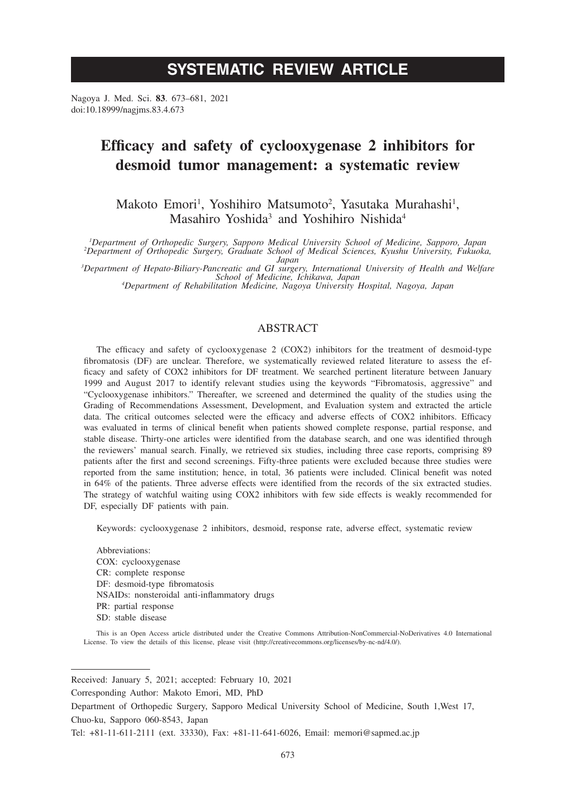# **SYSTEMATIC REVIEW ARTICLE**

Nagoya J. Med. Sci. **83**. 673–681, 2021 doi:10.18999/nagjms.83.4.673

# **Efficacy and safety of cyclooxygenase 2 inhibitors for desmoid tumor management: a systematic review**

Makoto Emori<sup>1</sup>, Yoshihiro Matsumoto<sup>2</sup>, Yasutaka Murahashi<sup>1</sup>, Masahiro Yoshida<sup>3</sup> and Yoshihiro Nishida<sup>4</sup>

<sup>1</sup>Department of Orthopedic Surgery, Sapporo Medical University School of Medicine, Sapporo, Japan<br><sup>2</sup>Department of Orthopedic Surgery, Graduate School of Medical Sciences, Kyushu University, Fukuoka,

*Japan*<br>
<sup>3</sup> Department of Hepato-Biliary-Pancreatic and GI surgery, International University of Health and Welfare<br>
<sup>4</sup> Department of Rehabilitation Medicine, Nagoya *Iniversity Hospital Nagoya Japan*<br>
<sup>4</sup> Department of R

*Department of Rehabilitation Medicine, Nagoya University Hospital, Nagoya, Japan*

# ABSTRACT

The efficacy and safety of cyclooxygenase 2 (COX2) inhibitors for the treatment of desmoid-type fibromatosis (DF) are unclear. Therefore, we systematically reviewed related literature to assess the efficacy and safety of COX2 inhibitors for DF treatment. We searched pertinent literature between January 1999 and August 2017 to identify relevant studies using the keywords "Fibromatosis, aggressive" and "Cyclooxygenase inhibitors." Thereafter, we screened and determined the quality of the studies using the Grading of Recommendations Assessment, Development, and Evaluation system and extracted the article data. The critical outcomes selected were the efficacy and adverse effects of COX2 inhibitors. Efficacy was evaluated in terms of clinical benefit when patients showed complete response, partial response, and stable disease. Thirty-one articles were identified from the database search, and one was identified through the reviewers' manual search. Finally, we retrieved six studies, including three case reports, comprising 89 patients after the first and second screenings. Fifty-three patients were excluded because three studies were reported from the same institution; hence, in total, 36 patients were included. Clinical benefit was noted in 64% of the patients. Three adverse effects were identified from the records of the six extracted studies. The strategy of watchful waiting using COX2 inhibitors with few side effects is weakly recommended for DF, especially DF patients with pain.

Keywords: cyclooxygenase 2 inhibitors, desmoid, response rate, adverse effect, systematic review

Abbreviations: COX: cyclooxygenase CR: complete response DF: desmoid-type fibromatosis NSAIDs: nonsteroidal anti-inflammatory drugs PR: partial response SD: stable disease

This is an Open Access article distributed under the Creative Commons Attribution-NonCommercial-NoDerivatives 4.0 International License. To view the details of this license, please visit (http://creativecommons.org/licenses/by-nc-nd/4.0/).

Received: January 5, 2021; accepted: February 10, 2021

Corresponding Author: Makoto Emori, MD, PhD

Department of Orthopedic Surgery, Sapporo Medical University School of Medicine, South 1,West 17, Chuo-ku, Sapporo 060-8543, Japan

Tel: +81-11-611-2111 (ext. 33330), Fax: +81-11-641-6026, Email: memori@sapmed.ac.jp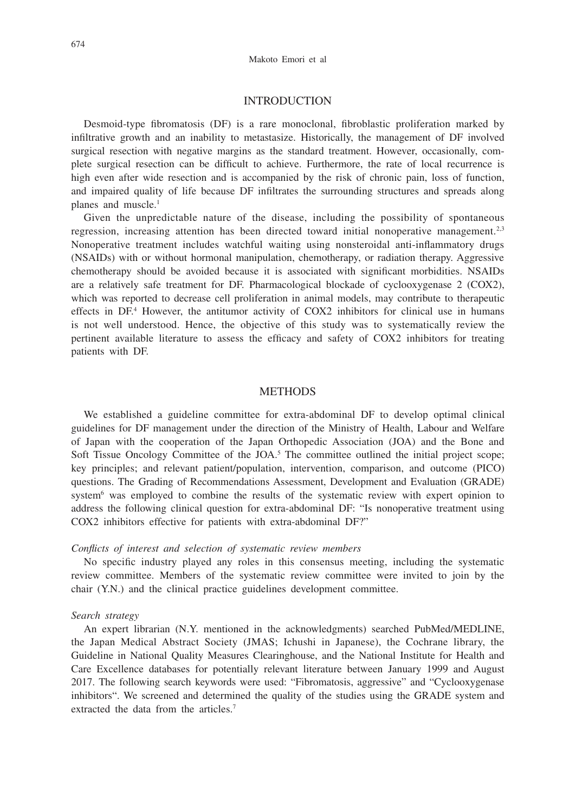## **INTRODUCTION**

Desmoid-type fibromatosis (DF) is a rare monoclonal, fibroblastic proliferation marked by infiltrative growth and an inability to metastasize. Historically, the management of DF involved surgical resection with negative margins as the standard treatment. However, occasionally, complete surgical resection can be difficult to achieve. Furthermore, the rate of local recurrence is high even after wide resection and is accompanied by the risk of chronic pain, loss of function, and impaired quality of life because DF infiltrates the surrounding structures and spreads along planes and muscle.<sup>1</sup>

Given the unpredictable nature of the disease, including the possibility of spontaneous regression, increasing attention has been directed toward initial nonoperative management.<sup>2,3</sup> Nonoperative treatment includes watchful waiting using nonsteroidal anti-inflammatory drugs (NSAIDs) with or without hormonal manipulation, chemotherapy, or radiation therapy. Aggressive chemotherapy should be avoided because it is associated with significant morbidities. NSAIDs are a relatively safe treatment for DF. Pharmacological blockade of cyclooxygenase 2 (COX2), which was reported to decrease cell proliferation in animal models, may contribute to therapeutic effects in DF.<sup>4</sup> However, the antitumor activity of COX2 inhibitors for clinical use in humans is not well understood. Hence, the objective of this study was to systematically review the pertinent available literature to assess the efficacy and safety of COX2 inhibitors for treating patients with DF.

## **METHODS**

We established a guideline committee for extra-abdominal DF to develop optimal clinical guidelines for DF management under the direction of the Ministry of Health, Labour and Welfare of Japan with the cooperation of the Japan Orthopedic Association (JOA) and the Bone and Soft Tissue Oncology Committee of the JOA.<sup>5</sup> The committee outlined the initial project scope; key principles; and relevant patient/population, intervention, comparison, and outcome (PICO) questions. The Grading of Recommendations Assessment, Development and Evaluation (GRADE) system<sup>6</sup> was employed to combine the results of the systematic review with expert opinion to address the following clinical question for extra-abdominal DF: "Is nonoperative treatment using COX2 inhibitors effective for patients with extra-abdominal DF?"

#### *Conflicts of interest and selection of systematic review members*

No specific industry played any roles in this consensus meeting, including the systematic review committee. Members of the systematic review committee were invited to join by the chair (Y.N.) and the clinical practice guidelines development committee.

#### *Search strategy*

An expert librarian (N.Y. mentioned in the acknowledgments) searched PubMed/MEDLINE, the Japan Medical Abstract Society (JMAS; Ichushi in Japanese), the Cochrane library, the Guideline in National Quality Measures Clearinghouse, and the National Institute for Health and Care Excellence databases for potentially relevant literature between January 1999 and August 2017. The following search keywords were used: "Fibromatosis, aggressive" and "Cyclooxygenase inhibitors". We screened and determined the quality of the studies using the GRADE system and extracted the data from the articles.7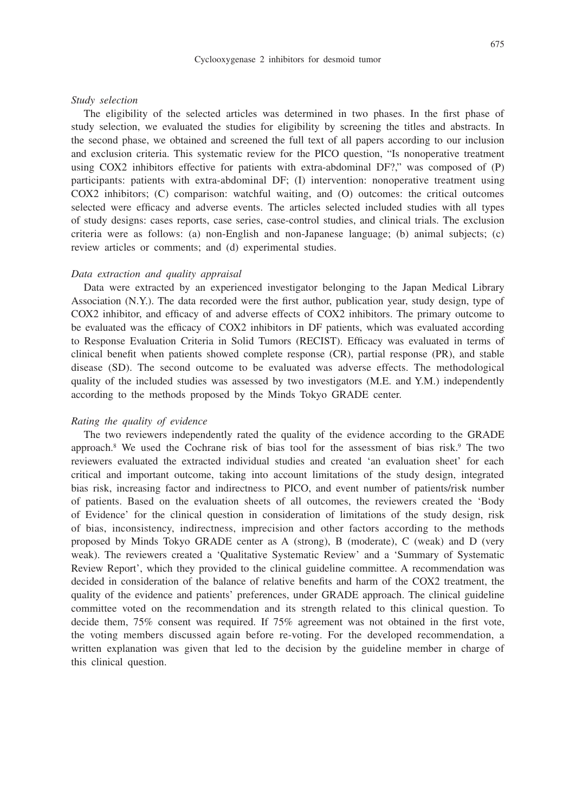#### Cyclooxygenase 2 inhibitors for desmoid tumor

#### *Study selection*

The eligibility of the selected articles was determined in two phases. In the first phase of study selection, we evaluated the studies for eligibility by screening the titles and abstracts. In the second phase, we obtained and screened the full text of all papers according to our inclusion and exclusion criteria. This systematic review for the PICO question, "Is nonoperative treatment using COX2 inhibitors effective for patients with extra-abdominal DF?," was composed of (P) participants: patients with extra-abdominal DF; (I) intervention: nonoperative treatment using COX2 inhibitors; (C) comparison: watchful waiting, and (O) outcomes: the critical outcomes selected were efficacy and adverse events. The articles selected included studies with all types of study designs: cases reports, case series, case-control studies, and clinical trials. The exclusion criteria were as follows: (a) non-English and non-Japanese language; (b) animal subjects; (c) review articles or comments; and (d) experimental studies.

#### *Data extraction and quality appraisal*

Data were extracted by an experienced investigator belonging to the Japan Medical Library Association (N.Y.). The data recorded were the first author, publication year, study design, type of COX2 inhibitor, and efficacy of and adverse effects of COX2 inhibitors. The primary outcome to be evaluated was the efficacy of COX2 inhibitors in DF patients, which was evaluated according to Response Evaluation Criteria in Solid Tumors (RECIST). Efficacy was evaluated in terms of clinical benefit when patients showed complete response (CR), partial response (PR), and stable disease (SD). The second outcome to be evaluated was adverse effects. The methodological quality of the included studies was assessed by two investigators (M.E. and Y.M.) independently according to the methods proposed by the Minds Tokyo GRADE center.

## *Rating the quality of evidence*

The two reviewers independently rated the quality of the evidence according to the GRADE approach.<sup>8</sup> We used the Cochrane risk of bias tool for the assessment of bias risk.<sup>9</sup> The two reviewers evaluated the extracted individual studies and created 'an evaluation sheet' for each critical and important outcome, taking into account limitations of the study design, integrated bias risk, increasing factor and indirectness to PICO, and event number of patients/risk number of patients. Based on the evaluation sheets of all outcomes, the reviewers created the 'Body of Evidence' for the clinical question in consideration of limitations of the study design, risk of bias, inconsistency, indirectness, imprecision and other factors according to the methods proposed by Minds Tokyo GRADE center as A (strong), B (moderate), C (weak) and D (very weak). The reviewers created a 'Qualitative Systematic Review' and a 'Summary of Systematic Review Report', which they provided to the clinical guideline committee. A recommendation was decided in consideration of the balance of relative benefits and harm of the COX2 treatment, the quality of the evidence and patients' preferences, under GRADE approach. The clinical guideline committee voted on the recommendation and its strength related to this clinical question. To decide them, 75% consent was required. If 75% agreement was not obtained in the first vote, the voting members discussed again before re-voting. For the developed recommendation, a written explanation was given that led to the decision by the guideline member in charge of this clinical question.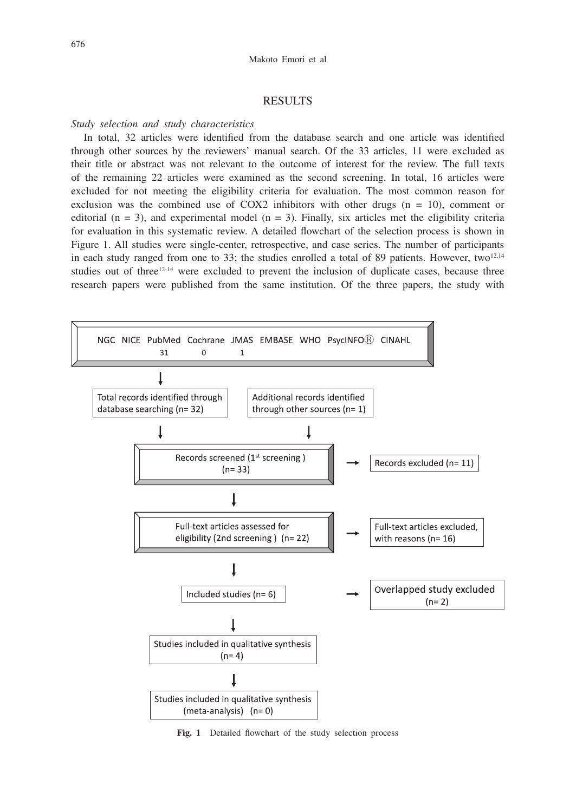## RESULTS

#### *Study selection and study characteristics*

In total, 32 articles were identified from the database search and one article was identified through other sources by the reviewers' manual search. Of the 33 articles, 11 were excluded as their title or abstract was not relevant to the outcome of interest for the review. The full texts of the remaining 22 articles were examined as the second screening. In total, 16 articles were excluded for not meeting the eligibility criteria for evaluation. The most common reason for exclusion was the combined use of COX2 inhibitors with other drugs  $(n = 10)$ , comment or editorial ( $n = 3$ ), and experimental model ( $n = 3$ ). Finally, six articles met the eligibility criteria for evaluation in this systematic review. A detailed flowchart of the selection process is shown in Figure 1. All studies were single-center, retrospective, and case series. The number of participants in each study ranged from one to 33; the studies enrolled a total of 89 patients. However, two<sup>12,14</sup> studies out of three $12-14$  were excluded to prevent the inclusion of duplicate cases, because three research papers were published from the same institution. Of the three papers, the study with



**Fig. 1** Detailed flowchart of the study selection process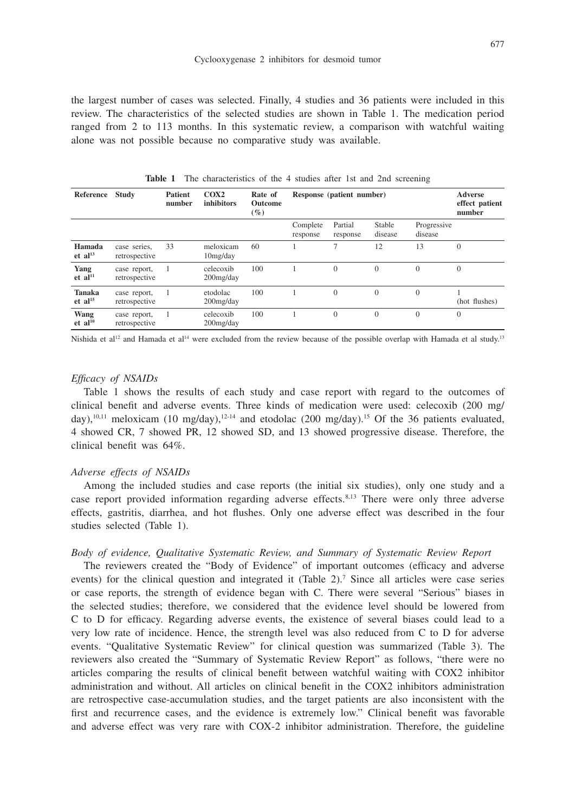the largest number of cases was selected. Finally, 4 studies and 36 patients were included in this review. The characteristics of the selected studies are shown in Table 1. The medication period ranged from 2 to 113 months. In this systematic review, a comparison with watchful waiting alone was not possible because no comparative study was available.

| Reference                              | <b>Study</b>                  | <b>Patient</b><br>number | COX2<br>inhibitors        | Rate of<br><b>Outcome</b><br>$(\%)$ | Response (patient number) |                     |                   |                        | <b>Adverse</b><br>effect patient<br>number |
|----------------------------------------|-------------------------------|--------------------------|---------------------------|-------------------------------------|---------------------------|---------------------|-------------------|------------------------|--------------------------------------------|
|                                        |                               |                          |                           |                                     | Complete<br>response      | Partial<br>response | Stable<br>disease | Progressive<br>disease |                                            |
| Hamada<br>et al <sup>13</sup>          | case series,<br>retrospective | 33                       | meloxicam<br>10mg/day     | 60                                  |                           |                     | 12                | 13                     | $\mathbf{0}$                               |
| Yang<br>$et$ al <sup>11</sup>          | case report,<br>retrospective |                          | celecoxib<br>$200$ mg/day | 100                                 |                           | $\mathbf{0}$        | $\mathbf{0}$      | $\theta$               | $\mathbf{0}$                               |
| <b>Tanaka</b><br>$et$ al <sup>15</sup> | case report,<br>retrospective |                          | etodolac<br>$200$ mg/day  | 100                                 |                           | $\Omega$            | $\Omega$          | $\Omega$               | (hot flushes)                              |
| Wang<br>$et$ al <sup>10</sup>          | case report,<br>retrospective |                          | celecoxib<br>$200$ mg/day | 100                                 |                           | $\mathbf{0}$        | $\mathbf{0}$      | $\mathbf{0}$           | $\mathbf{0}$                               |

**Table 1** The characteristics of the 4 studies after 1st and 2nd screening

Nishida et al<sup>12</sup> and Hamada et al<sup>14</sup> were excluded from the review because of the possible overlap with Hamada et al study.<sup>13</sup>

# *Efficacy of NSAIDs*

Table 1 shows the results of each study and case report with regard to the outcomes of clinical benefit and adverse events. Three kinds of medication were used: celecoxib (200 mg/ day),<sup>10,11</sup> meloxicam (10 mg/day),<sup>12-14</sup> and etodolac (200 mg/day).<sup>15</sup> Of the 36 patients evaluated, 4 showed CR, 7 showed PR, 12 showed SD, and 13 showed progressive disease. Therefore, the clinical benefit was 64%.

### *Adverse effects of NSAIDs*

Among the included studies and case reports (the initial six studies), only one study and a case report provided information regarding adverse effects.<sup>8,13</sup> There were only three adverse effects, gastritis, diarrhea, and hot flushes. Only one adverse effect was described in the four studies selected (Table 1).

## *Body of evidence, Qualitative Systematic Review, and Summary of Systematic Review Report*

The reviewers created the "Body of Evidence" of important outcomes (efficacy and adverse events) for the clinical question and integrated it (Table 2).<sup>7</sup> Since all articles were case series or case reports, the strength of evidence began with C. There were several "Serious" biases in the selected studies; therefore, we considered that the evidence level should be lowered from C to D for efficacy. Regarding adverse events, the existence of several biases could lead to a very low rate of incidence. Hence, the strength level was also reduced from C to D for adverse events. "Qualitative Systematic Review" for clinical question was summarized (Table 3). The reviewers also created the "Summary of Systematic Review Report" as follows, "there were no articles comparing the results of clinical benefit between watchful waiting with COX2 inhibitor administration and without. All articles on clinical benefit in the COX2 inhibitors administration are retrospective case-accumulation studies, and the target patients are also inconsistent with the first and recurrence cases, and the evidence is extremely low." Clinical benefit was favorable and adverse effect was very rare with COX-2 inhibitor administration. Therefore, the guideline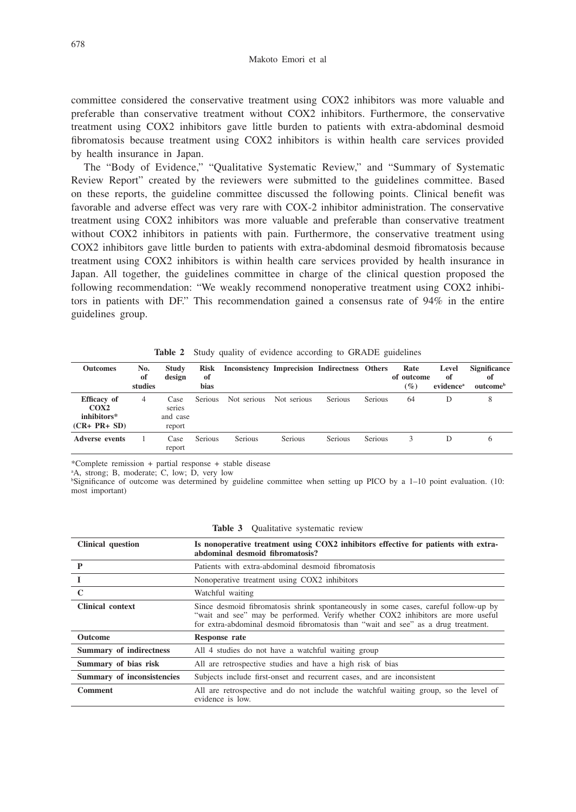committee considered the conservative treatment using COX2 inhibitors was more valuable and preferable than conservative treatment without COX2 inhibitors. Furthermore, the conservative treatment using COX2 inhibitors gave little burden to patients with extra-abdominal desmoid fibromatosis because treatment using COX2 inhibitors is within health care services provided by health insurance in Japan.

The "Body of Evidence," "Qualitative Systematic Review," and "Summary of Systematic Review Report" created by the reviewers were submitted to the guidelines committee. Based on these reports, the guideline committee discussed the following points. Clinical benefit was favorable and adverse effect was very rare with COX-2 inhibitor administration. The conservative treatment using COX2 inhibitors was more valuable and preferable than conservative treatment without COX2 inhibitors in patients with pain. Furthermore, the conservative treatment using COX2 inhibitors gave little burden to patients with extra-abdominal desmoid fibromatosis because treatment using COX2 inhibitors is within health care services provided by health insurance in Japan. All together, the guidelines committee in charge of the clinical question proposed the following recommendation: "We weakly recommend nonoperative treatment using COX2 inhibitors in patients with DF." This recommendation gained a consensus rate of 94% in the entire guidelines group.

| <b>Outcomes</b>                                      | No.<br>of<br>studies | <b>Study</b><br>design               | Risk<br>of<br>bias | Inconsistency Imprecision Indirectness Others |                |                |                | Rate<br>of outcome<br>$(\%)$ | Level<br>of<br>evidence <sup>a</sup> | <b>Significance</b><br>of<br>outcome <sup>b</sup> |
|------------------------------------------------------|----------------------|--------------------------------------|--------------------|-----------------------------------------------|----------------|----------------|----------------|------------------------------|--------------------------------------|---------------------------------------------------|
| Efficacy of<br>COX2<br>inhibitors*<br>$(CR+ PR+ SD)$ | 4                    | Case<br>series<br>and case<br>report | <b>Serious</b>     | Not serious                                   | Not serious    | Serious        | Serious        | 64                           | D                                    | 8                                                 |
| <b>Adverse events</b>                                |                      | Case<br>report                       | <b>Serious</b>     | <b>Serious</b>                                | <b>Serious</b> | <b>Serious</b> | <b>Serious</b> | 3                            | D                                    | 6                                                 |

**Table 2** Study quality of evidence according to GRADE guidelines

\*Complete remission + partial response + stable disease

a A, strong; B, moderate; C, low; D, very low

b Significance of outcome was determined by guideline committee when setting up PICO by a 1–10 point evaluation. (10: most important)

| <b>Clinical question</b>   | Is nonoperative treatment using COX2 inhibitors effective for patients with extra-<br>abdominal desmoid fibromatosis?                                                                                                                                       |
|----------------------------|-------------------------------------------------------------------------------------------------------------------------------------------------------------------------------------------------------------------------------------------------------------|
| P                          | Patients with extra-abdominal desmoid fibromatosis                                                                                                                                                                                                          |
| 1                          | Nonoperative treatment using COX2 inhibitors                                                                                                                                                                                                                |
| $\mathbf C$                | Watchful waiting                                                                                                                                                                                                                                            |
| <b>Clinical context</b>    | Since desmoid fibromatosis shrink spontaneously in some cases, careful follow-up by<br>"wait and see" may be performed. Verify whether COX2 inhibitors are more useful<br>for extra-abdominal desmoid fibromatosis than "wait and see" as a drug treatment. |
| <b>Outcome</b>             | Response rate                                                                                                                                                                                                                                               |
| Summary of indirectness    | All 4 studies do not have a watchful waiting group                                                                                                                                                                                                          |
| Summary of bias risk       | All are retrospective studies and have a high risk of bias                                                                                                                                                                                                  |
| Summary of inconsistencies | Subjects include first-onset and recurrent cases, and are inconsistent                                                                                                                                                                                      |
| <b>Comment</b>             | All are retrospective and do not include the watchful waiting group, so the level of<br>evidence is low.                                                                                                                                                    |

**Table 3** Qualitative systematic review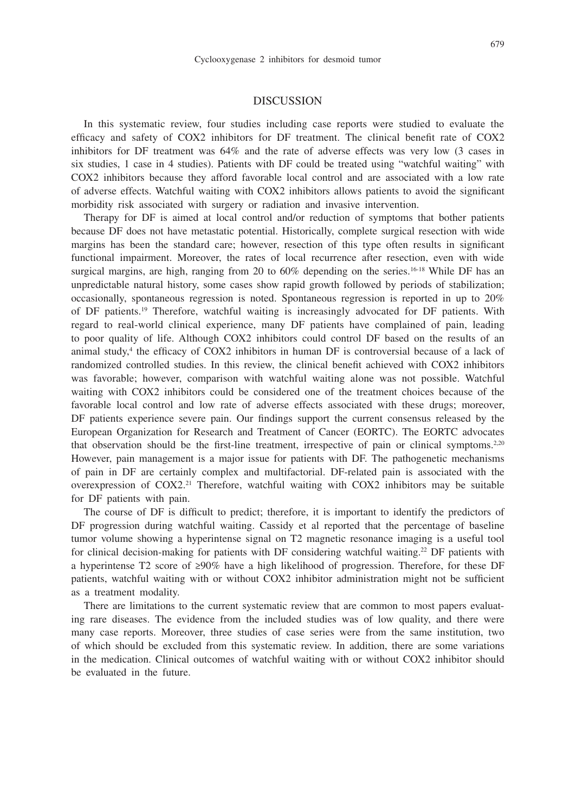#### DISCUSSION

In this systematic review, four studies including case reports were studied to evaluate the efficacy and safety of COX2 inhibitors for DF treatment. The clinical benefit rate of COX2 inhibitors for DF treatment was 64% and the rate of adverse effects was very low (3 cases in six studies, 1 case in 4 studies). Patients with DF could be treated using "watchful waiting" with COX2 inhibitors because they afford favorable local control and are associated with a low rate of adverse effects. Watchful waiting with COX2 inhibitors allows patients to avoid the significant morbidity risk associated with surgery or radiation and invasive intervention.

Therapy for DF is aimed at local control and/or reduction of symptoms that bother patients because DF does not have metastatic potential. Historically, complete surgical resection with wide margins has been the standard care; however, resection of this type often results in significant functional impairment. Moreover, the rates of local recurrence after resection, even with wide surgical margins, are high, ranging from 20 to  $60\%$  depending on the series.<sup>16-18</sup> While DF has an unpredictable natural history, some cases show rapid growth followed by periods of stabilization; occasionally, spontaneous regression is noted. Spontaneous regression is reported in up to 20% of DF patients.19 Therefore, watchful waiting is increasingly advocated for DF patients. With regard to real-world clinical experience, many DF patients have complained of pain, leading to poor quality of life. Although COX2 inhibitors could control DF based on the results of an animal study,<sup>4</sup> the efficacy of COX2 inhibitors in human DF is controversial because of a lack of randomized controlled studies. In this review, the clinical benefit achieved with COX2 inhibitors was favorable; however, comparison with watchful waiting alone was not possible. Watchful waiting with COX2 inhibitors could be considered one of the treatment choices because of the favorable local control and low rate of adverse effects associated with these drugs; moreover, DF patients experience severe pain. Our findings support the current consensus released by the European Organization for Research and Treatment of Cancer (EORTC). The EORTC advocates that observation should be the first-line treatment, irrespective of pain or clinical symptoms. $220$ However, pain management is a major issue for patients with DF. The pathogenetic mechanisms of pain in DF are certainly complex and multifactorial. DF-related pain is associated with the overexpression of COX2.<sup>21</sup> Therefore, watchful waiting with COX2 inhibitors may be suitable for DF patients with pain.

The course of DF is difficult to predict; therefore, it is important to identify the predictors of DF progression during watchful waiting. Cassidy et al reported that the percentage of baseline tumor volume showing a hyperintense signal on T2 magnetic resonance imaging is a useful tool for clinical decision-making for patients with DF considering watchful waiting.22 DF patients with a hyperintense T2 score of ≥90% have a high likelihood of progression. Therefore, for these DF patients, watchful waiting with or without COX2 inhibitor administration might not be sufficient as a treatment modality.

There are limitations to the current systematic review that are common to most papers evaluating rare diseases. The evidence from the included studies was of low quality, and there were many case reports. Moreover, three studies of case series were from the same institution, two of which should be excluded from this systematic review. In addition, there are some variations in the medication. Clinical outcomes of watchful waiting with or without COX2 inhibitor should be evaluated in the future.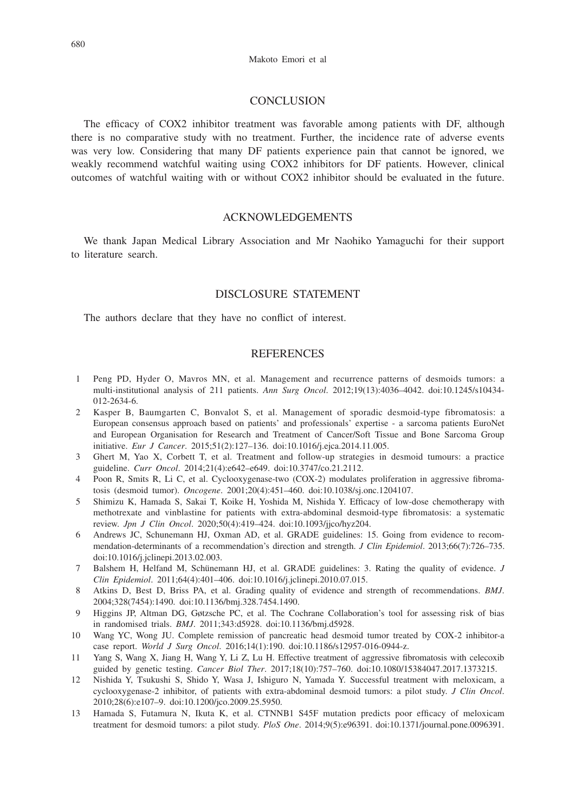#### Makoto Emori et al

## **CONCLUSION**

The efficacy of COX2 inhibitor treatment was favorable among patients with DF, although there is no comparative study with no treatment. Further, the incidence rate of adverse events was very low. Considering that many DF patients experience pain that cannot be ignored, we weakly recommend watchful waiting using COX2 inhibitors for DF patients. However, clinical outcomes of watchful waiting with or without COX2 inhibitor should be evaluated in the future.

# ACKNOWLEDGEMENTS

We thank Japan Medical Library Association and Mr Naohiko Yamaguchi for their support to literature search.

# DISCLOSURE STATEMENT

The authors declare that they have no conflict of interest.

# **REFERENCES**

- 1 Peng PD, Hyder O, Mavros MN, et al. Management and recurrence patterns of desmoids tumors: a multi-institutional analysis of 211 patients. *Ann Surg Oncol*. 2012;19(13):4036–4042. doi:10.1245/s10434- 012-2634-6.
- 2 Kasper B, Baumgarten C, Bonvalot S, et al. Management of sporadic desmoid-type fibromatosis: a European consensus approach based on patients' and professionals' expertise - a sarcoma patients EuroNet and European Organisation for Research and Treatment of Cancer/Soft Tissue and Bone Sarcoma Group initiative. *Eur J Cancer*. 2015;51(2):127–136. doi:10.1016/j.ejca.2014.11.005.
- 3 Ghert M, Yao X, Corbett T, et al. Treatment and follow-up strategies in desmoid tumours: a practice guideline. *Curr Oncol*. 2014;21(4):e642–e649. doi:10.3747/co.21.2112.
- 4 Poon R, Smits R, Li C, et al. Cyclooxygenase-two (COX-2) modulates proliferation in aggressive fibromatosis (desmoid tumor). *Oncogene*. 2001;20(4):451–460. doi:10.1038/sj.onc.1204107.
- 5 Shimizu K, Hamada S, Sakai T, Koike H, Yoshida M, Nishida Y. Efficacy of low-dose chemotherapy with methotrexate and vinblastine for patients with extra-abdominal desmoid-type fibromatosis: a systematic review. *Jpn J Clin Oncol*. 2020;50(4):419–424. doi:10.1093/jjco/hyz204.
- 6 Andrews JC, Schunemann HJ, Oxman AD, et al. GRADE guidelines: 15. Going from evidence to recommendation-determinants of a recommendation's direction and strength. *J Clin Epidemiol*. 2013;66(7):726–735. doi:10.1016/j.jclinepi.2013.02.003.
- 7 Balshem H, Helfand M, Schünemann HJ, et al. GRADE guidelines: 3. Rating the quality of evidence. *J Clin Epidemiol*. 2011;64(4):401–406. doi:10.1016/j.jclinepi.2010.07.015.
- 8 Atkins D, Best D, Briss PA, et al. Grading quality of evidence and strength of recommendations. *BMJ*. 2004;328(7454):1490. doi:10.1136/bmj.328.7454.1490.
- 9 Higgins JP, Altman DG, Gøtzsche PC, et al. The Cochrane Collaboration's tool for assessing risk of bias in randomised trials. *BMJ*. 2011;343:d5928. doi:10.1136/bmj.d5928.
- 10 Wang YC, Wong JU. Complete remission of pancreatic head desmoid tumor treated by COX-2 inhibitor-a case report. *World J Surg Oncol*. 2016;14(1):190. doi:10.1186/s12957-016-0944-z.
- 11 Yang S, Wang X, Jiang H, Wang Y, Li Z, Lu H. Effective treatment of aggressive fibromatosis with celecoxib guided by genetic testing. *Cancer Biol Ther*. 2017;18(10):757–760. doi:10.1080/15384047.2017.1373215.
- 12 Nishida Y, Tsukushi S, Shido Y, Wasa J, Ishiguro N, Yamada Y. Successful treatment with meloxicam, a cyclooxygenase-2 inhibitor, of patients with extra-abdominal desmoid tumors: a pilot study. *J Clin Oncol*. 2010;28(6):e107–9. doi:10.1200/jco.2009.25.5950.
- 13 Hamada S, Futamura N, Ikuta K, et al. CTNNB1 S45F mutation predicts poor efficacy of meloxicam treatment for desmoid tumors: a pilot study. *PloS One*. 2014;9(5):e96391. doi:10.1371/journal.pone.0096391.